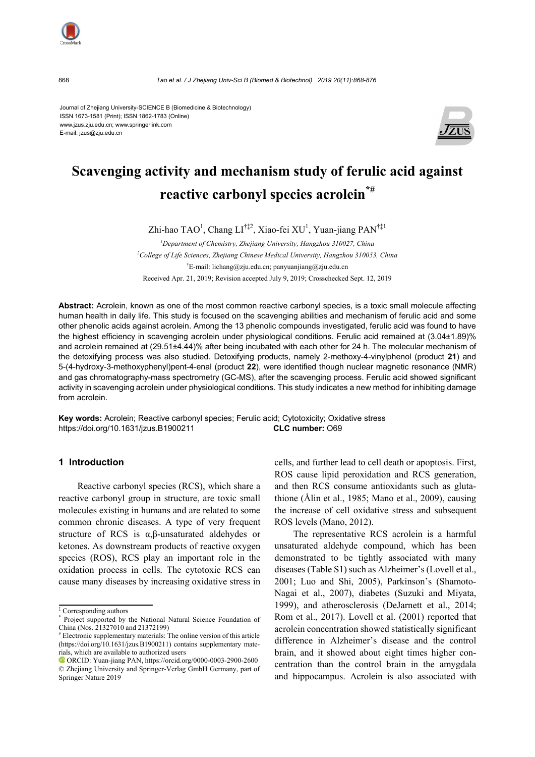

868 *Tao et al*. */ J Zhejiang Univ-Sci B (Biomed & Biotechnol) 2019 20(11):868-876*

Journal of Zhejiang University-SCIENCE B (Biomedicine & Biotechnology) ISSN 1673-1581 (Print); ISSN 1862-1783 (Online) www.jzus.zju.edu.cn; www.springerlink.com E-mail: jzus@zju.edu.cn



# **Scavenging activity and mechanism study of ferulic acid against reactive carbonyl species acrolein\*#**

Zhi-hao TAO<sup>1</sup>, Chang LI<sup>†‡2</sup>, Xiao-fei XU<sup>1</sup>, Yuan-jiang PAN<sup>†‡1</sup>

*1 Department of Chemistry, Zhejiang University, Hangzhou 310027, China 2 College of Life Sciences, Zhejiang Chinese Medical University, Hangzhou 310053, China*  † E-mail: lichang@zju.edu.cn; panyuanjiang@zju.edu.cn Received Apr. 21, 2019; Revision accepted July 9, 2019; Crosschecked Sept. 12, 2019

**Abstract:** Acrolein, known as one of the most common reactive carbonyl species, is a toxic small molecule affecting human health in daily life. This study is focused on the scavenging abilities and mechanism of ferulic acid and some other phenolic acids against acrolein. Among the 13 phenolic compounds investigated, ferulic acid was found to have the highest efficiency in scavenging acrolein under physiological conditions. Ferulic acid remained at (3.04±1.89)% and acrolein remained at (29.51±4.44)% after being incubated with each other for 24 h. The molecular mechanism of the detoxifying process was also studied. Detoxifying products, namely 2-methoxy-4-vinylphenol (product **21**) and 5-(4-hydroxy-3-methoxyphenyl)pent-4-enal (product **22**), were identified though nuclear magnetic resonance (NMR) and gas chromatography-mass spectrometry (GC-MS), after the scavenging process. Ferulic acid showed significant activity in scavenging acrolein under physiological conditions. This study indicates a new method for inhibiting damage from acrolein.

**Key words:** Acrolein; Reactive carbonyl species; Ferulic acid; Cytotoxicity; Oxidative stress https://doi.org/10.1631/jzus.B1900211 **CLC number:** O69

## **1 Introduction**

Reactive carbonyl species (RCS), which share a reactive carbonyl group in structure, are toxic small molecules existing in humans and are related to some common chronic diseases. A type of very frequent structure of RCS is α,β-unsaturated aldehydes or ketones. As downstream products of reactive oxygen species (ROS), RCS play an important role in the oxidation process in cells. The cytotoxic RCS can cause many diseases by increasing oxidative stress in cells, and further lead to cell death or apoptosis. First, ROS cause lipid peroxidation and RCS generation, and then RCS consume antioxidants such as glutathione (Ålin et al., 1985; Mano et al., 2009), causing the increase of cell oxidative stress and subsequent ROS levels (Mano, 2012).

The representative RCS acrolein is a harmful unsaturated aldehyde compound, which has been demonstrated to be tightly associated with many diseases (Table S1) such as Alzheimer's (Lovell et al., 2001; Luo and Shi, 2005), Parkinson's (Shamoto-Nagai et al., 2007), diabetes (Suzuki and Miyata, 1999), and atherosclerosis (DeJarnett et al., 2014; Rom et al., 2017). Lovell et al. (2001) reported that acrolein concentration showed statistically significant difference in Alzheimer's disease and the control brain, and it showed about eight times higher concentration than the control brain in the amygdala and hippocampus. Acrolein is also associated with

<sup>‡</sup> Corresponding authors

<sup>\*</sup> Project supported by the National Natural Science Foundation of China (Nos. 21327010 and 21372199)

<sup>#</sup> Electronic supplementary materials: The online version of this article (https://doi.org/10.1631/jzus.B1900211) contains supplementary materials, which are available to authorized users

ORCID: Yuan-jiang PAN, https://orcid.org/0000-0003-2900-2600 © Zhejiang University and Springer-Verlag GmbH Germany, part of Springer Nature 2019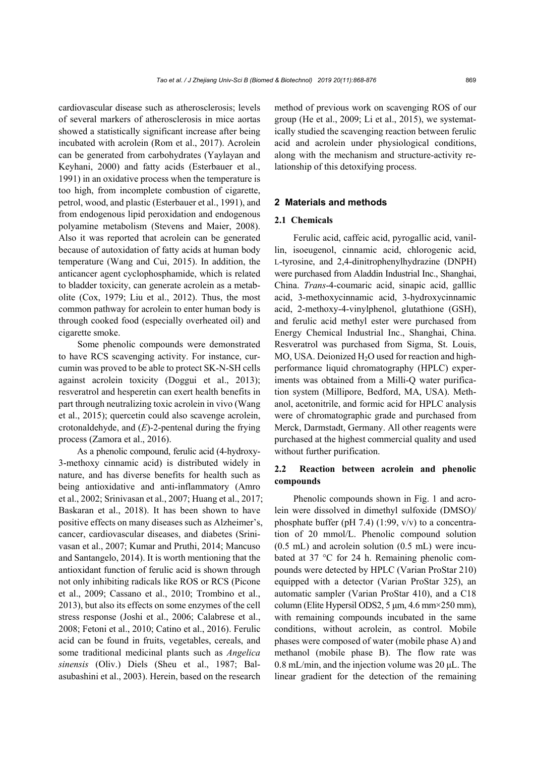cardiovascular disease such as atherosclerosis; levels of several markers of atherosclerosis in mice aortas showed a statistically significant increase after being incubated with acrolein (Rom et al., 2017). Acrolein can be generated from carbohydrates (Yaylayan and Keyhani, 2000) and fatty acids (Esterbauer et al., 1991) in an oxidative process when the temperature is too high, from incomplete combustion of cigarette, petrol, wood, and plastic (Esterbauer et al., 1991), and from endogenous lipid peroxidation and endogenous polyamine metabolism (Stevens and Maier, 2008). Also it was reported that acrolein can be generated because of autoxidation of fatty acids at human body temperature (Wang and Cui, 2015). In addition, the anticancer agent cyclophosphamide, which is related to bladder toxicity, can generate acrolein as a metabolite (Cox, 1979; Liu et al., 2012). Thus, the most common pathway for acrolein to enter human body is through cooked food (especially overheated oil) and cigarette smoke.

Some phenolic compounds were demonstrated to have RCS scavenging activity. For instance, curcumin was proved to be able to protect SK-N-SH cells against acrolein toxicity (Doggui et al., 2013); resveratrol and hesperetin can exert health benefits in part through neutralizing toxic acrolein in vivo (Wang et al., 2015); quercetin could also scavenge acrolein, crotonaldehyde, and (*E*)-2-pentenal during the frying process (Zamora et al., 2016).

As a phenolic compound, ferulic acid (4-hydroxy-3-methoxy cinnamic acid) is distributed widely in nature, and has diverse benefits for health such as being antioxidative and anti-inflammatory (Amro et al., 2002; Srinivasan et al., 2007; Huang et al., 2017; Baskaran et al., 2018). It has been shown to have positive effects on many diseases such as Alzheimer's, cancer, cardiovascular diseases, and diabetes (Srinivasan et al., 2007; Kumar and Pruthi, 2014; Mancuso and Santangelo, 2014). It is worth mentioning that the antioxidant function of ferulic acid is shown through not only inhibiting radicals like ROS or RCS (Picone et al., 2009; Cassano et al., 2010; Trombino et al., 2013), but also its effects on some enzymes of the cell stress response (Joshi et al., 2006; Calabrese et al., 2008; Fetoni et al., 2010; Catino et al., 2016). Ferulic acid can be found in fruits, vegetables, cereals, and some traditional medicinal plants such as *Angelica sinensis* (Oliv.) Diels (Sheu et al., 1987; Balasubashini et al., 2003). Herein, based on the research

method of previous work on scavenging ROS of our group (He et al., 2009; Li et al., 2015), we systematically studied the scavenging reaction between ferulic acid and acrolein under physiological conditions, along with the mechanism and structure-activity relationship of this detoxifying process.

## **2 Materials and methods**

## **2.1 Chemicals**

Ferulic acid, caffeic acid, pyrogallic acid, vanillin, isoeugenol, cinnamic acid, chlorogenic acid, L-tyrosine, and 2,4-dinitrophenylhydrazine (DNPH) were purchased from Aladdin Industrial Inc., Shanghai, China. *Trans*-4-coumaric acid, sinapic acid, galllic acid, 3-methoxycinnamic acid, 3-hydroxycinnamic acid, 2-methoxy-4-vinylphenol, glutathione (GSH), and ferulic acid methyl ester were purchased from Energy Chemical Industrial Inc., Shanghai, China. Resveratrol was purchased from Sigma, St. Louis, MO, USA. Deionized  $H_2O$  used for reaction and highperformance liquid chromatography (HPLC) experiments was obtained from a Milli-Q water purification system (Millipore, Bedford, MA, USA). Methanol, acetonitrile, and formic acid for HPLC analysis were of chromatographic grade and purchased from Merck, Darmstadt, Germany. All other reagents were purchased at the highest commercial quality and used without further purification.

## **2.2 Reaction between acrolein and phenolic compounds**

Phenolic compounds shown in Fig. 1 and acrolein were dissolved in dimethyl sulfoxide (DMSO)/ phosphate buffer (pH 7.4) (1:99,  $v/v$ ) to a concentration of 20 mmol/L. Phenolic compound solution (0.5 mL) and acrolein solution (0.5 mL) were incubated at 37 °C for 24 h. Remaining phenolic compounds were detected by HPLC (Varian ProStar 210) equipped with a detector (Varian ProStar 325), an automatic sampler (Varian ProStar 410), and a C18 column (Elite Hypersil ODS2, 5 μm, 4.6 mm×250 mm), with remaining compounds incubated in the same conditions, without acrolein, as control. Mobile phases were composed of water (mobile phase A) and methanol (mobile phase B). The flow rate was 0.8 mL/min, and the injection volume was 20 μL. The linear gradient for the detection of the remaining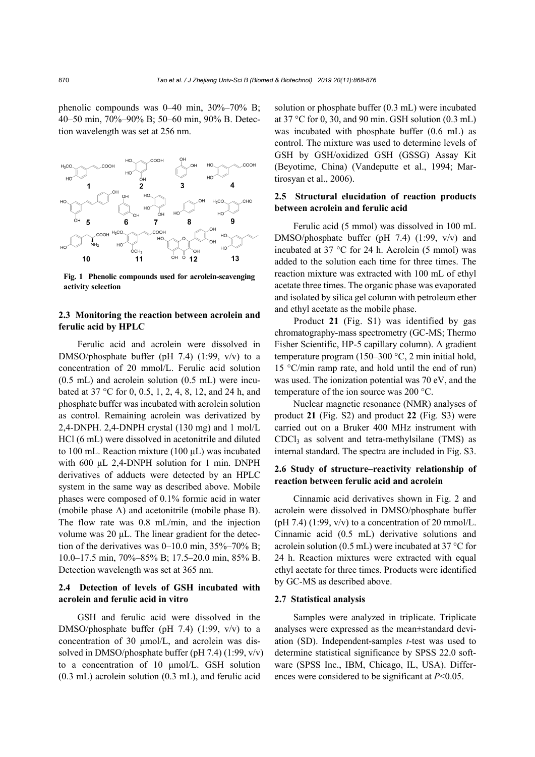phenolic compounds was 0–40 min, 30%–70% B; 40–50 min, 70%–90% B; 50–60 min, 90% B. Detection wavelength was set at 256 nm.



**Fig. 1 Phenolic compounds used for acrolein-scavenging activity selection**

## **2.3 Monitoring the reaction between acrolein and ferulic acid by HPLC**

Ferulic acid and acrolein were dissolved in DMSO/phosphate buffer (pH 7.4) (1:99, v/v) to a concentration of 20 mmol/L. Ferulic acid solution (0.5 mL) and acrolein solution (0.5 mL) were incubated at 37 °C for 0, 0.5, 1, 2, 4, 8, 12, and 24 h, and phosphate buffer was incubated with acrolein solution as control. Remaining acrolein was derivatized by 2,4-DNPH. 2,4-DNPH crystal (130 mg) and 1 mol/L HCl (6 mL) were dissolved in acetonitrile and diluted to 100 mL. Reaction mixture (100 μL) was incubated with 600 μL 2,4-DNPH solution for 1 min. DNPH derivatives of adducts were detected by an HPLC system in the same way as described above. Mobile phases were composed of 0.1% formic acid in water (mobile phase A) and acetonitrile (mobile phase B). The flow rate was 0.8 mL/min, and the injection volume was 20 μL. The linear gradient for the detection of the derivatives was  $0-10.0$  min,  $35\% - 70\%$  B; 10.0–17.5 min, 70%–85% B; 17.5–20.0 min, 85% B. Detection wavelength was set at 365 nm.

# **2.4 Detection of levels of GSH incubated with acrolein and ferulic acid in vitro**

GSH and ferulic acid were dissolved in the DMSO/phosphate buffer (pH 7.4) (1:99, v/v) to a concentration of 30 μmol/L, and acrolein was dissolved in DMSO/phosphate buffer (pH 7.4) (1:99, v/v) to a concentration of 10 μmol/L. GSH solution (0.3 mL) acrolein solution (0.3 mL), and ferulic acid

solution or phosphate buffer (0.3 mL) were incubated at 37 °C for 0, 30, and 90 min. GSH solution (0.3 mL) was incubated with phosphate buffer (0.6 mL) as control. The mixture was used to determine levels of GSH by GSH/oxidized GSH (GSSG) Assay Kit (Beyotime, China) (Vandeputte et al., 1994; Martirosyan et al., 2006).

# **2.5 Structural elucidation of reaction products between acrolein and ferulic acid**

Ferulic acid (5 mmol) was dissolved in 100 mL DMSO/phosphate buffer (pH 7.4) (1:99, v/v) and incubated at 37 °C for 24 h. Acrolein (5 mmol) was added to the solution each time for three times. The reaction mixture was extracted with 100 mL of ethyl acetate three times. The organic phase was evaporated and isolated by silica gel column with petroleum ether and ethyl acetate as the mobile phase.

Product **21** (Fig. S1) was identified by gas chromatography-mass spectrometry (GC-MS; Thermo Fisher Scientific, HP-5 capillary column). A gradient temperature program (150–300 °C, 2 min initial hold, 15 °C/min ramp rate, and hold until the end of run) was used. The ionization potential was 70 eV, and the temperature of the ion source was 200 °C.

Nuclear magnetic resonance (NMR) analyses of product **21** (Fig. S2) and product **22** (Fig. S3) were carried out on a Bruker 400 MHz instrument with CDCl3 as solvent and tetra-methylsilane (TMS) as internal standard. The spectra are included in Fig. S3.

# **2.6 Study of structure–reactivity relationship of reaction between ferulic acid and acrolein**

Cinnamic acid derivatives shown in Fig. 2 and acrolein were dissolved in DMSO/phosphate buffer (pH 7.4)  $(1:99, v/v)$  to a concentration of 20 mmol/L. Cinnamic acid (0.5 mL) derivative solutions and acrolein solution (0.5 mL) were incubated at 37 °C for 24 h. Reaction mixtures were extracted with equal ethyl acetate for three times. Products were identified by GC-MS as described above.

#### **2.7 Statistical analysis**

Samples were analyzed in triplicate. Triplicate analyses were expressed as the mean±standard deviation (SD). Independent-samples *t*-test was used to determine statistical significance by SPSS 22.0 software (SPSS Inc., IBM, Chicago, IL, USA). Differences were considered to be significant at *P*<0.05.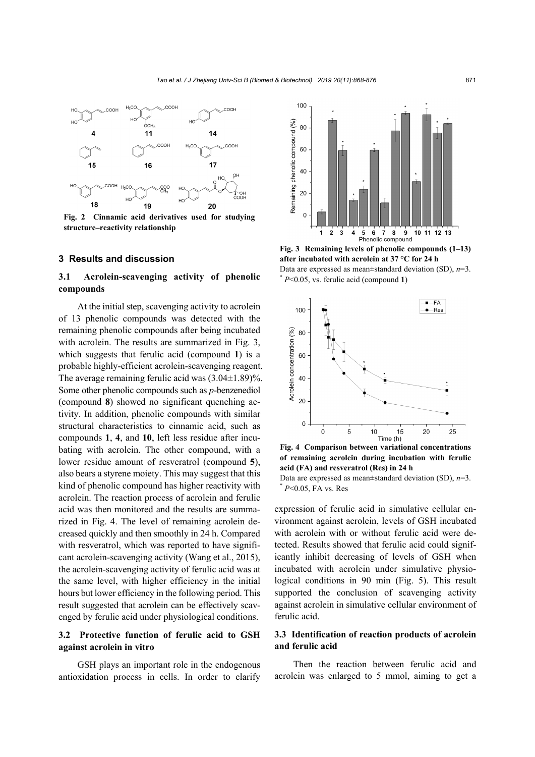

**Fig. 2 Cinnamic acid derivatives used for studying structure–reactivity relationship**

#### **3 Results and discussion**

# **3.1 Acrolein-scavenging activity of phenolic compounds**

At the initial step, scavenging activity to acrolein of 13 phenolic compounds was detected with the remaining phenolic compounds after being incubated with acrolein. The results are summarized in Fig. 3, which suggests that ferulic acid (compound **1**) is a probable highly-efficient acrolein-scavenging reagent. The average remaining ferulic acid was  $(3.04\pm1.89)\%$ . Some other phenolic compounds such as *p*-benzenediol (compound **8**) showed no significant quenching activity. In addition, phenolic compounds with similar structural characteristics to cinnamic acid, such as compounds **1**, **4**, and **10**, left less residue after incubating with acrolein. The other compound, with a lower residue amount of resveratrol (compound **5**), also bears a styrene moiety. This may suggest that this kind of phenolic compound has higher reactivity with acrolein. The reaction process of acrolein and ferulic acid was then monitored and the results are summarized in Fig. 4. The level of remaining acrolein decreased quickly and then smoothly in 24 h. Compared with resveratrol, which was reported to have significant acrolein-scavenging activity (Wang et al., 2015), the acrolein-scavenging activity of ferulic acid was at the same level, with higher efficiency in the initial hours but lower efficiency in the following period. This result suggested that acrolein can be effectively scavenged by ferulic acid under physiological conditions.

# **3.2 Protective function of ferulic acid to GSH against acrolein in vitro**

GSH plays an important role in the endogenous antioxidation process in cells. In order to clarify



**Fig. 3 Remaining levels of phenolic compounds (1–13) after incubated with acrolein at 37 °C for 24 h**  Data are expressed as mean±standard deviation (SD), *n*=3. \* *<sup>P</sup>*<0.05, vs. ferulic acid (compound **1**)



**Fig. 4 Comparison between variational concentrations of remaining acrolein during incubation with ferulic acid (FA) and resveratrol (Res) in 24 h** 

Data are expressed as mean±standard deviation (SD), *n*=3. \* *<sup>P</sup>*<0.05, FA vs. Res

expression of ferulic acid in simulative cellular environment against acrolein, levels of GSH incubated with acrolein with or without ferulic acid were detected. Results showed that ferulic acid could significantly inhibit decreasing of levels of GSH when incubated with acrolein under simulative physiological conditions in 90 min (Fig. 5). This result supported the conclusion of scavenging activity against acrolein in simulative cellular environment of ferulic acid.

# **3.3 Identification of reaction products of acrolein and ferulic acid**

Then the reaction between ferulic acid and acrolein was enlarged to 5 mmol, aiming to get a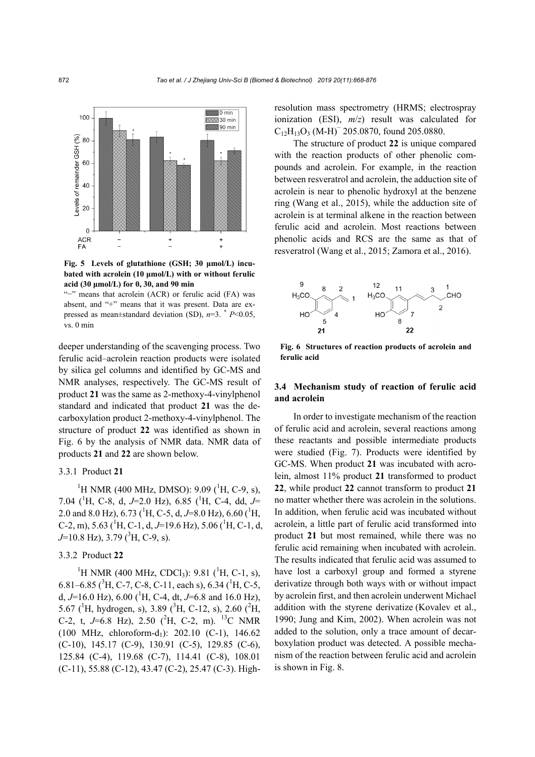

**Fig. 5 Levels of glutathione (GSH; 30 μmol/L) incubated with acrolein (10 μmol/L) with or without ferulic acid (30 μmol/L) for 0, 30, and 90 min** 

"−" means that acrolein (ACR) or ferulic acid (FA) was absent, and "+" means that it was present. Data are expressed as mean±standard deviation (SD), *n*=3. \* *P*<0.05, vs. 0 min

deeper understanding of the scavenging process. Two ferulic acid–acrolein reaction products were isolated by silica gel columns and identified by GC-MS and NMR analyses, respectively. The GC-MS result of product **21** was the same as 2-methoxy-4-vinylphenol standard and indicated that product **21** was the decarboxylation product 2-methoxy-4-vinylphenol. The structure of product **22** was identified as shown in Fig. 6 by the analysis of NMR data. NMR data of products **21** and **22** are shown below.

#### 3.3.1 Product **21**

<sup>1</sup>H NMR (400 MHz, DMSO): 9.09 (<sup>1</sup>H, C-9, s), 7.04 (1 H, C-8, d, *J*=2.0 Hz), 6.85 (1 H, C-4, dd, *J*= 2.0 and 8.0 Hz), 6.73 (<sup>1</sup>H, C-5, d, J=8.0 Hz), 6.60 (<sup>1</sup>H, C-2, m), 5.63 (<sup>1</sup>H, C-1, d, J=19.6 Hz), 5.06 (<sup>1</sup>H, C-1, d, *J*=10.8 Hz), 3.79 (<sup>3</sup>H, C-9, s).

#### 3.3.2 Product **22**

<sup>1</sup>H NMR (400 MHz, CDCl<sub>3</sub>): 9.81 (<sup>1</sup>H, C-1, s), 6.81–6.85 ( ${}^{3}$ H, C-7, C-8, C-11, each s), 6.34 ( ${}^{1}$ H, C-5, d,  $J=16.0$  Hz),  $6.00$  (<sup>1</sup>H, C-4, dt,  $J=6.8$  and 16.0 Hz), 5.67 ( ${}^{1}$ H, hydrogen, s), 3.89 ( ${}^{3}$ H, C-12, s), 2.60 ( ${}^{2}$ H, C-2, t, *J*=6.8 Hz), 2.50 (<sup>2</sup>H, C-2, m). <sup>13</sup>C NMR  $(100 \text{ MHz}, \text{ chloroform-d}_1): 202.10 \text{ (C-1)}, 146.62$ (C-10), 145.17 (C-9), 130.91 (C-5), 129.85 (C-6), 125.84 (C-4), 119.68 (C-7), 114.41 (C-8), 108.01 (C-11), 55.88 (C-12), 43.47 (C-2), 25.47 (C-3). Highresolution mass spectrometry (HRMS; electrospray ionization (ESI), *m*/*z*) result was calculated for  $C_{12}H_{13}O_3$  (M-H)<sup>-</sup> 205.0870, found 205.0880.

The structure of product **22** is unique compared with the reaction products of other phenolic compounds and acrolein. For example, in the reaction between resveratrol and acrolein, the adduction site of acrolein is near to phenolic hydroxyl at the benzene ring (Wang et al., 2015), while the adduction site of acrolein is at terminal alkene in the reaction between ferulic acid and acrolein. Most reactions between phenolic acids and RCS are the same as that of resveratrol (Wang et al., 2015; Zamora et al., 2016).



**Fig. 6 Structures of reaction products of acrolein and ferulic acid**

## **3.4 Mechanism study of reaction of ferulic acid and acrolein**

In order to investigate mechanism of the reaction of ferulic acid and acrolein, several reactions among these reactants and possible intermediate products were studied (Fig. 7). Products were identified by GC-MS. When product **21** was incubated with acrolein, almost 11% product **21** transformed to product **22**, while product **22** cannot transform to product **21** no matter whether there was acrolein in the solutions. In addition, when ferulic acid was incubated without acrolein, a little part of ferulic acid transformed into product **21** but most remained, while there was no ferulic acid remaining when incubated with acrolein. The results indicated that ferulic acid was assumed to have lost a carboxyl group and formed a styrene derivatize through both ways with or without impact by acrolein first, and then acrolein underwent Michael addition with the styrene derivatize (Kovalev et al., 1990; Jung and Kim, 2002). When acrolein was not added to the solution, only a trace amount of decarboxylation product was detected. A possible mechanism of the reaction between ferulic acid and acrolein is shown in Fig. 8.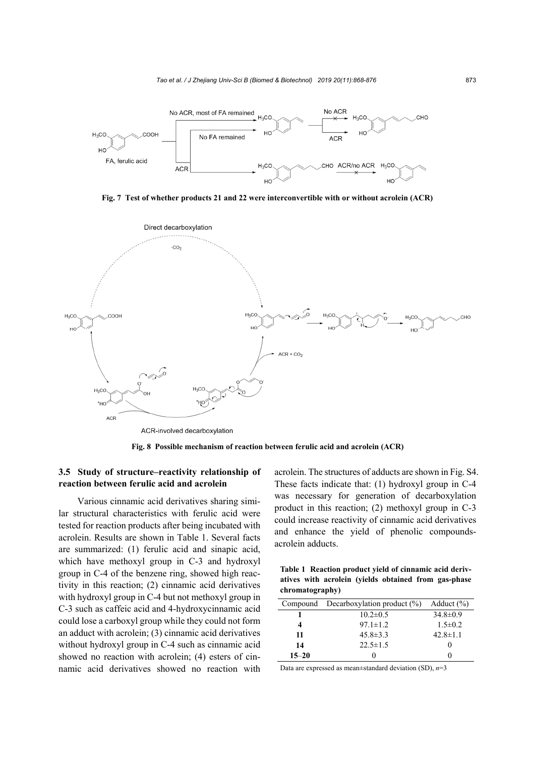

**Fig. 7 Test of whether products 21 and 22 were interconvertible with or without acrolein (ACR)**



**Fig. 8 Possible mechanism of reaction between ferulic acid and acrolein (ACR)**

# **3.5 Study of structure–reactivity relationship of reaction between ferulic acid and acrolein**

Various cinnamic acid derivatives sharing similar structural characteristics with ferulic acid were tested for reaction products after being incubated with acrolein. Results are shown in Table 1. Several facts are summarized: (1) ferulic acid and sinapic acid, which have methoxyl group in C-3 and hydroxyl group in C-4 of the benzene ring, showed high reactivity in this reaction; (2) cinnamic acid derivatives with hydroxyl group in C-4 but not methoxyl group in C-3 such as caffeic acid and 4-hydroxycinnamic acid could lose a carboxyl group while they could not form an adduct with acrolein; (3) cinnamic acid derivatives without hydroxyl group in C-4 such as cinnamic acid showed no reaction with acrolein; (4) esters of cinnamic acid derivatives showed no reaction with acrolein. The structures of adducts are shown in Fig. S4. These facts indicate that: (1) hydroxyl group in C-4 was necessary for generation of decarboxylation product in this reaction; (2) methoxyl group in C-3 could increase reactivity of cinnamic acid derivatives and enhance the yield of phenolic compoundsacrolein adducts.

**Table 1 Reaction product yield of cinnamic acid derivatives with acrolein (yields obtained from gas-phase chromatography)** 

|           | Compound Decarboxylation product $(\%)$ | Adduct $(\% )$ |
|-----------|-----------------------------------------|----------------|
|           | $10.2 \pm 0.5$                          | $34.8 \pm 0.9$ |
|           | $97.1 \pm 1.2$                          | $1.5 \pm 0.2$  |
| 11        | $45.8 \pm 3.3$                          | $42.8 \pm 1.1$ |
| 14        | $22.5 \pm 1.5$                          |                |
| $15 - 20$ |                                         |                |
|           |                                         |                |

Data are expressed as mean±standard deviation (SD), *n*=3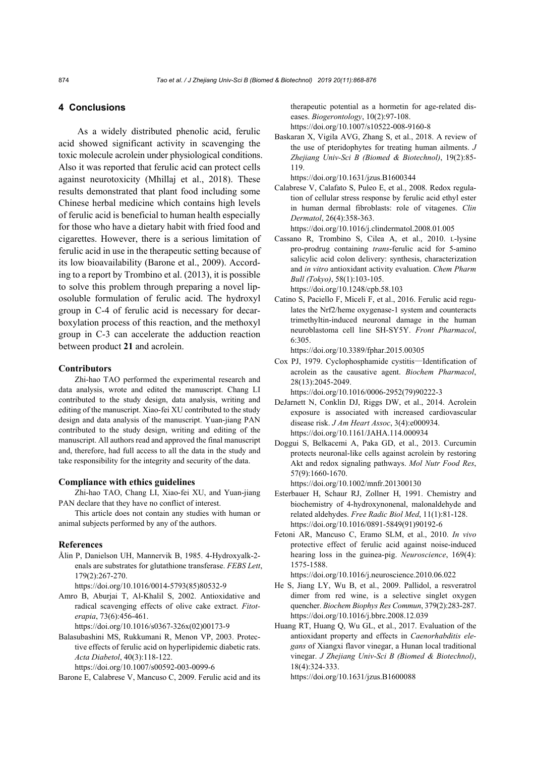#### **4 Conclusions**

As a widely distributed phenolic acid, ferulic acid showed significant activity in scavenging the toxic molecule acrolein under physiological conditions. Also it was reported that ferulic acid can protect cells against neurotoxicity (Mhillaj et al., 2018). These results demonstrated that plant food including some Chinese herbal medicine which contains high levels of ferulic acid is beneficial to human health especially for those who have a dietary habit with fried food and cigarettes. However, there is a serious limitation of ferulic acid in use in the therapeutic setting because of its low bioavailability (Barone et al., 2009). According to a report by Trombino et al. (2013), it is possible to solve this problem through preparing a novel liposoluble formulation of ferulic acid. The hydroxyl group in C-4 of ferulic acid is necessary for decarboxylation process of this reaction, and the methoxyl group in C-3 can accelerate the adduction reaction between product **21** and acrolein.

#### **Contributors**

Zhi-hao TAO performed the experimental research and data analysis, wrote and edited the manuscript. Chang LI contributed to the study design, data analysis, writing and editing of the manuscript. Xiao-fei XU contributed to the study design and data analysis of the manuscript. Yuan-jiang PAN contributed to the study design, writing and editing of the manuscript. All authors read and approved the final manuscript and, therefore, had full access to all the data in the study and take responsibility for the integrity and security of the data.

#### **Compliance with ethics guidelines**

Zhi-hao TAO, Chang LI, Xiao-fei XU, and Yuan-jiang PAN declare that they have no conflict of interest.

This article does not contain any studies with human or animal subjects performed by any of the authors.

#### **References**

Ålin P, Danielson UH, Mannervik B, 1985. 4-Hydroxyalk-2 enals are substrates for glutathione transferase. *FEBS Lett*, 179(2):267-270.

https://doi.org/10.1016/0014-5793(85)80532-9

Amro B, Aburjai T, Al-Khalil S, 2002. Antioxidative and radical scavenging effects of olive cake extract. *Fitoterapia*, 73(6):456-461.

https://doi.org/10.1016/s0367-326x(02)00173-9

Balasubashini MS, Rukkumani R, Menon VP, 2003. Protective effects of ferulic acid on hyperlipidemic diabetic rats. *Acta Diabetol*, 40(3):118-122.

https://doi.org/10.1007/s00592-003-0099-6

Barone E, Calabrese V, Mancuso C, 2009. Ferulic acid and its

therapeutic potential as a hormetin for age-related diseases. *Biogerontology*, 10(2):97-108.

https://doi.org/10.1007/s10522-008-9160-8

Baskaran X, Vigila AVG, Zhang S, et al., 2018. A review of the use of pteridophytes for treating human ailments. *J Zhejiang Univ-Sci B (Biomed & Biotechnol)*, 19(2):85- 119.

https://doi.org/10.1631/jzus.B1600344

Calabrese V, Calafato S, Puleo E, et al., 2008. Redox regulation of cellular stress response by ferulic acid ethyl ester in human dermal fibroblasts: role of vitagenes. *Clin Dermatol*, 26(4):358-363.

https://doi.org/10.1016/j.clindermatol.2008.01.005

Cassano R, Trombino S, Cilea A, et al., 2010. L-lysine pro-prodrug containing *trans*-ferulic acid for 5-amino salicylic acid colon delivery: synthesis, characterization and *in vitro* antioxidant activity evaluation. *Chem Pharm Bull (Tokyo)*, 58(1):103-105. https://doi.org/10.1248/cpb.58.103

Catino S, Paciello F, Miceli F, et al., 2016. Ferulic acid regulates the Nrf2/heme oxygenase-1 system and counteracts trimethyltin-induced neuronal damage in the human neuroblastoma cell line SH-SY5Y. *Front Pharmacol*, 6:305.

https://doi.org/10.3389/fphar.2015.00305

Cox PJ, 1979. Cyclophosphamide cystitis—Identification of acrolein as the causative agent. *Biochem Pharmacol*, 28(13):2045-2049.

https://doi.org/10.1016/0006-2952(79)90222-3

- DeJarnett N, Conklin DJ, Riggs DW, et al., 2014. Acrolein exposure is associated with increased cardiovascular disease risk. *J Am Heart Assoc*, 3(4):e000934. https://doi.org/10.1161/JAHA.114.000934
- Doggui S, Belkacemi A, Paka GD, et al., 2013. Curcumin protects neuronal-like cells against acrolein by restoring Akt and redox signaling pathways. *Mol Nutr Food Res*, 57(9):1660-1670.

https://doi.org/10.1002/mnfr.201300130

- Esterbauer H, Schaur RJ, Zollner H, 1991. Chemistry and biochemistry of 4-hydroxynonenal, malonaldehyde and related aldehydes. *Free Radic Biol Med*, 11(1):81-128. https://doi.org/10.1016/0891-5849(91)90192-6
- Fetoni AR, Mancuso C, Eramo SLM, et al., 2010. *In vivo* protective effect of ferulic acid against noise-induced hearing loss in the guinea-pig. *Neuroscience*, 169(4): 1575-1588.

https://doi.org/10.1016/j.neuroscience.2010.06.022

- He S, Jiang LY, Wu B, et al., 2009. Pallidol, a resveratrol dimer from red wine, is a selective singlet oxygen quencher. *Biochem Biophys Res Commun*, 379(2):283-287. https://doi.org/10.1016/j.bbrc.2008.12.039
- Huang RT, Huang Q, Wu GL, et al., 2017. Evaluation of the antioxidant property and effects in *Caenorhabditis elegans* of Xiangxi flavor vinegar, a Hunan local traditional vinegar. *J Zhejiang Univ-Sci B (Biomed & Biotechnol)*, 18(4):324-333.

https://doi.org/10.1631/jzus.B1600088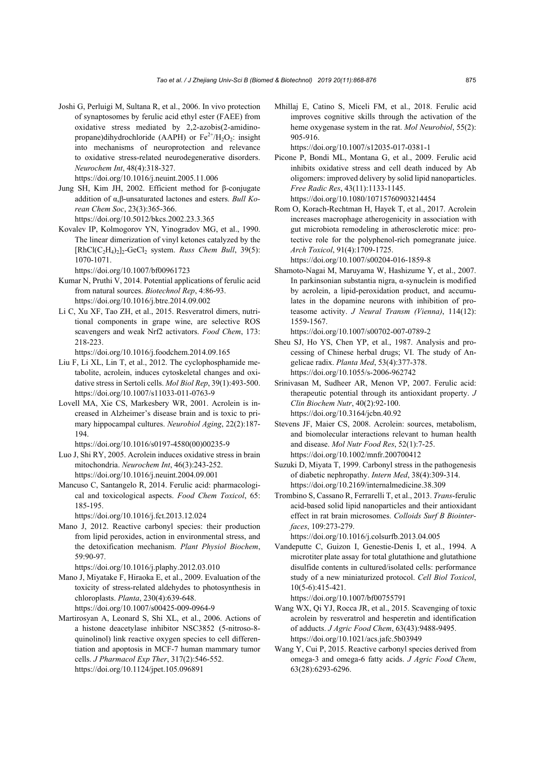Joshi G, Perluigi M, Sultana R, et al., 2006. In vivo protection of synaptosomes by ferulic acid ethyl ester (FAEE) from oxidative stress mediated by 2,2-azobis(2-amidinopropane)dihydrochloride (AAPH) or  $Fe^{2+}/H_2O_2$ : insight into mechanisms of neuroprotection and relevance to oxidative stress-related neurodegenerative disorders. *Neurochem Int*, 48(4):318-327. https://doi.org/10.1016/j.neuint.2005.11.006

Jung SH, Kim JH, 2002. Efficient method for β-conjugate addition of α,β-unsaturated lactones and esters. *Bull Korean Chem Soc*, 23(3):365-366. https://doi.org/10.5012/bkcs.2002.23.3.365

Kovalev IP, Kolmogorov YN, Yinogradov MG, et al., 1990. The linear dimerization of vinyl ketones catalyzed by the  $[RhCl(C<sub>2</sub>H<sub>4</sub>)<sub>2</sub>]$ <sub>2</sub>-GeCl<sub>2</sub> system. *Russ Chem Bull*, 39(5): 1070-1071.

https://doi.org/10.1007/bf00961723

- Kumar N, Pruthi V, 2014. Potential applications of ferulic acid from natural sources. *Biotechnol Rep*, 4:86-93. https://doi.org/10.1016/j.btre.2014.09.002
- Li C, Xu XF, Tao ZH, et al., 2015. Resveratrol dimers, nutritional components in grape wine, are selective ROS scavengers and weak Nrf2 activators. *Food Chem*, 173: 218-223.

https://doi.org/10.1016/j.foodchem.2014.09.165

- Liu F, Li XL, Lin T, et al., 2012. The cyclophosphamide metabolite, acrolein, induces cytoskeletal changes and oxidative stress in Sertoli cells. *Mol Biol Rep*, 39(1):493-500. https://doi.org/10.1007/s11033-011-0763-9
- Lovell MA, Xie CS, Markesbery WR, 2001. Acrolein is increased in Alzheimer's disease brain and is toxic to primary hippocampal cultures. *Neurobiol Aging*, 22(2):187- 194.

https://doi.org/10.1016/s0197-4580(00)00235-9

- Luo J, Shi RY, 2005. Acrolein induces oxidative stress in brain mitochondria. *Neurochem Int*, 46(3):243-252. https://doi.org/10.1016/j.neuint.2004.09.001
- Mancuso C, Santangelo R, 2014. Ferulic acid: pharmacological and toxicological aspects. *Food Chem Toxicol*, 65: 185-195.

https://doi.org/10.1016/j.fct.2013.12.024

Mano J, 2012. Reactive carbonyl species: their production from lipid peroxides, action in environmental stress, and the detoxification mechanism. *Plant Physiol Biochem*, 59:90-97.

https://doi.org/10.1016/j.plaphy.2012.03.010

- Mano J, Miyatake F, Hiraoka E, et al., 2009. Evaluation of the toxicity of stress-related aldehydes to photosynthesis in chloroplasts. *Planta*, 230(4):639-648. https://doi.org/10.1007/s00425-009-0964-9
- Martirosyan A, Leonard S, Shi XL, et al., 2006. Actions of a histone deacetylase inhibitor NSC3852 (5-nitroso-8 quinolinol) link reactive oxygen species to cell differentiation and apoptosis in MCF-7 human mammary tumor cells. *J Pharmacol Exp Ther*, 317(2):546-552. https://doi.org/10.1124/jpet.105.096891

Mhillaj E, Catino S, Miceli FM, et al., 2018. Ferulic acid improves cognitive skills through the activation of the heme oxygenase system in the rat. *Mol Neurobiol*, 55(2): 905-916.

https://doi.org/10.1007/s12035-017-0381-1

- Picone P, Bondi ML, Montana G, et al., 2009. Ferulic acid inhibits oxidative stress and cell death induced by Ab oligomers: improved delivery by solid lipid nanoparticles. *Free Radic Res*, 43(11):1133-1145. https://doi.org/10.1080/10715760903214454
- Rom O, Korach-Rechtman H, Hayek T, et al., 2017. Acrolein increases macrophage atherogenicity in association with gut microbiota remodeling in atherosclerotic mice: protective role for the polyphenol-rich pomegranate juice. *Arch Toxicol*, 91(4):1709-1725.

https://doi.org/10.1007/s00204-016-1859-8

Shamoto-Nagai M, Maruyama W, Hashizume Y, et al., 2007. In parkinsonian substantia nigra, α-synuclein is modified by acrolein, a lipid-peroxidation product, and accumulates in the dopamine neurons with inhibition of proteasome activity. *J Neural Transm (Vienna)*, 114(12): 1559-1567.

https://doi.org/10.1007/s00702-007-0789-2

- Sheu SJ, Ho YS, Chen YP, et al., 1987. Analysis and processing of Chinese herbal drugs; VI. The study of Angelicae radix. *Planta Med*, 53(4):377-378. https://doi.org/10.1055/s-2006-962742
- Srinivasan M, Sudheer AR, Menon VP, 2007. Ferulic acid: therapeutic potential through its antioxidant property. *J Clin Biochem Nutr*, 40(2):92-100. https://doi.org/10.3164/jcbn.40.92
- Stevens JF, Maier CS, 2008. Acrolein: sources, metabolism, and biomolecular interactions relevant to human health and disease. *Mol Nutr Food Res*, 52(1):7-25. https://doi.org/10.1002/mnfr.200700412
- Suzuki D, Miyata T, 1999. Carbonyl stress in the pathogenesis of diabetic nephropathy. *Intern Med*, 38(4):309-314. https://doi.org/10.2169/internalmedicine.38.309
- Trombino S, Cassano R, Ferrarelli T, et al., 2013. *Trans*-ferulic acid-based solid lipid nanoparticles and their antioxidant effect in rat brain microsomes. *Colloids Surf B Biointerfaces*, 109:273-279.

https://doi.org/10.1016/j.colsurfb.2013.04.005

Vandeputte C, Guizon I, Genestie-Denis I, et al., 1994. A microtiter plate assay for total glutathione and glutathione disulfide contents in cultured/isolated cells: performance study of a new miniaturized protocol. *Cell Biol Toxicol*, 10(5-6):415-421.

https://doi.org/10.1007/bf00755791

- Wang WX, Qi YJ, Rocca JR, et al., 2015. Scavenging of toxic acrolein by resveratrol and hesperetin and identification of adducts. *J Agric Food Chem*, 63(43):9488-9495. https://doi.org/10.1021/acs.jafc.5b03949
- Wang Y, Cui P, 2015. Reactive carbonyl species derived from omega-3 and omega-6 fatty acids. *J Agric Food Chem*, 63(28):6293-6296.